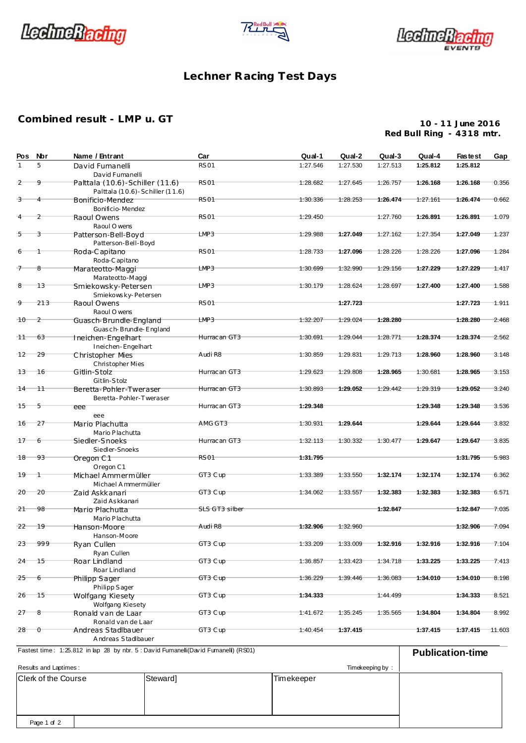





## **Lechner Racing Test Days**

## **Combined result - LMP u. GT**

**10 - 11 June 2016 Red Bull Ring - 4318 mtr.**

| Pos                                                      | Nbr            | Name / Entrant                                                                       | Car              | Qual-1     | Qual-2   | Qual-3          | Qual-4   | <b>Fastest</b>          | Gap       |
|----------------------------------------------------------|----------------|--------------------------------------------------------------------------------------|------------------|------------|----------|-----------------|----------|-------------------------|-----------|
|                                                          | 5              | David Fumanelli<br>David Fumanelli                                                   | <b>RS01</b>      | 1:27.546   | 1:27.530 | 1:27.513        | 1:25.812 | 1:25.812                |           |
| 2                                                        | 9              | Palttala (10.6)-Schiller (11.6)<br>Palttala (10.6) - Schiller (11.6)                 | RS <sub>01</sub> | 1:28.682   | 1:27.645 | 1:26.757        | 1:26.168 | 1:26.168                | 0.356     |
| 3                                                        | 4              | Bonificio-Mendez<br>Bonificio-Mendez                                                 | <b>RS01</b>      | 1:30.336   | 1:28.253 | 1:26.474        | 1:27.161 | 1:26.474                | 0.662     |
|                                                          | $\overline{2}$ | Raoul Owens<br>Raoul O wens                                                          | <b>RS01</b>      | 1:29.450   |          | 1:27.760        | 1:26.891 | 1:26.891                | 1.079     |
| -5                                                       | 3              | Patterson-Bell-Boyd<br>Patterson-Bell-Boyd                                           | LMP3             | 1:29.988   | 1:27.049 | 1:27.162        | 1:27.354 | 1:27.049                | 1.237     |
|                                                          |                | Roda-Capitano<br>Roda-Capitano                                                       | RS <sub>01</sub> | 1:28.733   | 1:27.096 | 1:28.226        | 1:28.226 | 1:27.096                | 1.284     |
|                                                          | 8              | Marateotto-Maggi<br>Marateot to-Maggi                                                | LMP3             | 1:30.699   | 1:32.990 | 1:29.156        | 1:27.229 | 1:27.229                | 1.417     |
|                                                          | 13             | Smiekowsky-Petersen<br>Smiekowsky-Petersen                                           | LMP3             | 1:30.179   | 1:28.624 | 1:28.697        | 1:27.400 | 1:27.400                | 1.588     |
|                                                          | 213            | Raoul Owens<br>Raoul O wens                                                          | RS <sub>01</sub> |            | 1:27.723 |                 |          | 1:27.723                | 1.911     |
| $10 -$                                                   | $\overline{2}$ | Guasch-Brundle-England<br>Guasch-Brundle-England                                     | LMP3             | 1:32.207   | 1:29.024 | 1:28.280        |          | 1:28.280                | 2.468     |
| 11                                                       | 63             | Ineichen-Engelhart<br>Ineichen-Engelhart                                             | Hurrac an GT3    | 1:30.691   | 1:29.044 | 1:28.771        | 1:28.374 | 1:28.374                | 2.562     |
| $-12$                                                    | 29             | Christopher Mies<br>Christopher Mies                                                 | Audi R8          | 1:30.859   | 1:29.831 | 1:29.713        | 1:28.960 | 1:28.960                | 3.148     |
| $-13$                                                    | 16             | Gitlin-Stolz<br>Gitlin-Stolz                                                         | Hurrac an GT3    | 1:29.623   | 1:29.808 | 1:28.965        | 1:30.681 | 1:28.965                | 3.153     |
| 14                                                       | 11             | Beretta-Pohler-Tweraser<br>Beretta-Pohler-Tweraser                                   | Hurrac an GT3    | 1:30.893   | 1:29.052 | 1:29.442        | 1:29.319 | 1:29.052                | 3.240     |
| 15                                                       | $-5$           | eee<br>eee                                                                           | Hurrac an GT3    | 1:29.348   |          |                 | 1:29.348 | 1:29.348                | 3.536     |
| 16                                                       | 27             | Mario Plachutta<br>Mario Plachutta                                                   | AMG GT3          | 1:30.931   | 1:29.644 |                 | 1:29.644 | 1:29.644                | 3.832     |
| -17                                                      | 6              | Siedler-Snoeks<br>Siedler-Snoeks                                                     | Hurrac an GT3    | 1:32.113   | 1:30.332 | 1:30.477        | 1:29.647 | 1:29.647                | 3.835     |
| 18                                                       | 93             | Oregon C1<br>Oregon C1                                                               | RS <sub>01</sub> | 1:31.795   |          |                 |          | 1:31.795                | 5.983     |
| 19                                                       | -1             | Michael Ammermüller<br>Michael Ammermüller                                           | GT3 Cup          | 1:33.389   | 1:33.550 | 1:32.174        | 1:32.174 | 1:32.174                | 6.362     |
| 20                                                       | 20             | Zaid Askkanari<br>Zaid Askkanari                                                     | GT3 Cup          | 1:34.062   | 1:33.557 | 1:32.383        | 1:32.383 | 1:32.383                | 6.571     |
| $-21$                                                    | 98             | Mario Plachutta<br>Mario Plachutta                                                   | SLS GT3 silber   |            |          | 1:32.847        |          | 1:32.847                | 7.035     |
| $22 -$                                                   | 19             | Hanson-Moore<br>Hanson-Moore                                                         | Audi R8          | 1:32.906   | 1:32.960 |                 |          | 1:32.906                | 7.094     |
|                                                          | $23 - 999$     | Ryan Cullen                                                                          | GT3 Cup          | 1:33.209   | 1:33.009 | 1:32.916        | 1:32.916 | $1:32.916$ $7.104$      |           |
| 24                                                       | 15             | Ryan Cullen<br>Roar Lindland<br>Roar Lindland                                        | GT3 Cup          | 1:36.857   | 1:33.423 | 1:34.718        | 1:33.225 | 1:33.225                | 7.413     |
| $-25$                                                    | 6              | Philipp Sager                                                                        | GT3 Cup          | 1:36.229   | 1:39.446 | 1:36.083        | 1:34.010 | 1:34.010                | 8.198     |
| 26                                                       | 15             | Philipp Sager<br>Wolfgang Kiesety<br>Wolfgang Kiesety                                | GT3 Cup          | 1:34.333   |          | 1:44.499        |          | 1:34.333                | 8.521     |
| $-27$                                                    | $-8$           | Ronald van de Laar<br>Ronald van de Laar                                             | GT3 Cup          | 1:41.672   | 1:35.245 | 1:35.565        | 1:34.804 | 1:34.804                | 8.992     |
| $28 \quad 0$                                             |                | Andreas Stadlbauer<br>Andreas Stadlbauer                                             | GT3 Cup          | 1:40.454   | 1:37.415 |                 | 1:37.415 | 1:37.415                | $-11.603$ |
|                                                          |                | Fastest time: 1:25.812 in lap 28 by nbr. 5 : David Fumanelli(David Fumanelli) (RS01) |                  |            |          |                 |          | <b>Publication-time</b> |           |
|                                                          |                |                                                                                      |                  |            |          | Timekeeping by: |          |                         |           |
| Results and Laptimes:<br>Clerk of the Course<br>Steward] |                |                                                                                      |                  | Timekeeper |          |                 |          |                         |           |
|                                                          |                |                                                                                      |                  |            |          |                 |          |                         |           |